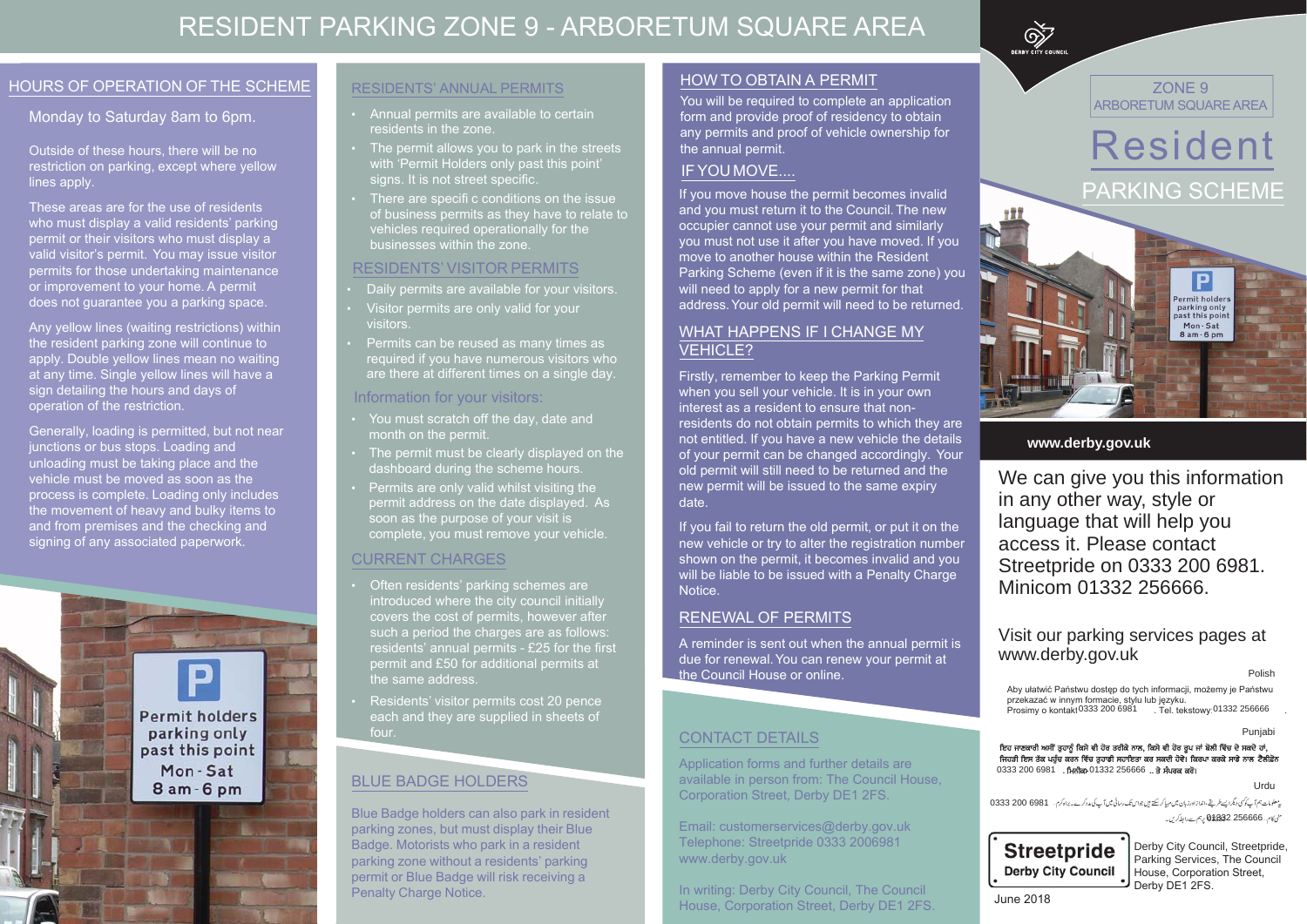# **RESIDENT PARKING ZONE 9 - ARBORETUM SQUARE AREA**

#### **HOURS OF OPERATION OF THE SCHEME**

#### Monday to Saturday 8am to 6pm.

Outside of these hours, there will be no restriction on parking, except where yellow lines apply.

These areas are for the use of residents who must display a valid residents' parking permit or their visitors who must display a valid visitor's permit. You may issue visitor permits for those undertaking maintenance or improvement to your home. A permit does not guarantee you a parking space.

Any yellow lines (waiting restrictions) within the resident parking zone will continue to apply. Double yellow lines mean no waiting at any time. Single yellow lines will have a sign detailing the hours and days of operation of the restriction.

Generally, loading is permitted, but not near junctions or bus stops. Loading and unloading must be taking place and the vehicle must be moved as soon as the process is complete. Loading only includes the movement of heavy and bulky items to and from premises and the checking and signing of any associated paperwork.



#### **RESIDENTS' ANNUAL PERMITS**

- Annual permits are available to certain residents in the zone.
- The permit allows you to park in the streets with 'Permit Holders only past this point' signs. It is not street specific.
- There are specifi c conditions on the issue of business permits as they have to relate to vehicles required operationally for the businesses within the zone.

#### **RESIDENTS' VISITOR PERMITS**

- Daily permits are available for your visitors.
- Visitor permits are only valid for your visitors.
- Permits can be reused as many times as required if you have numerous visitors who are there at different times on a single day.

#### Information for your visitors:

- You must scratch off the day, date and month on the permit.
- The permit must be clearly displayed on the dashboard during the scheme hours.
- Permits are only valid whilst visiting the permit address on the date displayed. As soon as the purpose of your visit is complete, you must remove your vehicle.

### **CURRENT CHARGES**

- Often residents' parking schemes are introduced where the city council initially covers the cost of permits, however after such a period the charges are as follows: residents' annual permits - £25 for the first permit and £50 for additional permits at the same address.
- Residents' visitor permits cost 20 pence each and they are supplied in sheets of four.

### **BLUE BADGE HOLDERS**

Blue Badge holders can also park in resident parking zones, but must display their Blue Badge. Motorists who park in a resident parking zone without a residents' parking permit or Blue Badge will risk receiving a **Penalty Charge Notice.** 

#### **HOW TO OBTAIN A PERMIT**

You will be required to complete an application form and provide proof of residency to obtain any permits and proof of vehicle ownership for the annual permit.

#### IF YOU MOVE....

If you move house the permit becomes invalid and you must return it to the Council. The new occupier cannot use your permit and similarly you must not use it after you have moved. If you move to another house within the Resident Parking Scheme (even if it is the same zone) you will need to apply for a new permit for that address. Your old permit will need to be returned.

#### **WHAT HAPPENS IF I CHANGE MY VEHICLE?**

Firstly, remember to keep the Parking Permit when you sell your vehicle. It is in your own interest as a resident to ensure that nonresidents do not obtain permits to which they are not entitled. If you have a new vehicle the details of your permit can be changed accordingly. Your old permit will still need to be returned and the new permit will be issued to the same expiry date.

If you fail to return the old permit, or put it on the new vehicle or try to alter the registration number shown on the permit, it becomes invalid and you will be liable to be issued with a Penalty Charge Notice.

#### **RENEWAL OF PERMITS**

A reminder is sent out when the annual permit is due for renewal. You can renew your permit at the Council House or online.

#### **CONTACT DETAILS**

Application forms and further details are available in person from: The Council House, Corporation Street, Derby DE1 2FS.

Email: customerservices@derby.gov.uk Telephone: Streetpride 0333 2006981 www.derby.gov.uk

In writing: Derby City Council, The Council House, Corporation Street, Derby DE1 2FS.



ZONE 9 ARBORETUM SQUARE AREA



#### www.derby.gov.uk

We can give you this information in any other way, style or language that will help you access it. Please contact Streetpride on 0333 200 6981. Minicom 01332 256666.

#### Visit our parking services pages at www.derby.gov.uk

Polish

Aby ułatwić Państwu dostęp do tych informacji, możemy je Państwu przekazać w innym formacie, stylu lub języku.<br>Prosimy o kontakt 0333 200 6981 Tel. tek . Tel. tekstowy 01332 256666

Punjabi

ਇਹ ਜਾਣਕਾਰੀ ਅਸੀਂ ਤੁਹਾਨੂੰ ਕਿਸੇ ਵੀ ਹੋਰ ਤਰੀਕੇ ਨਾਲ, ਕਿਸੇ ਵੀ ਹੋਰ ਰੂਪ ਜਾਂ ਬੋਲੀ ਵਿੱਚ ਦੇ ਸਕਦੇ ਹਾਂ, ਜਿਹੜੀ ਇਸ ਤੱਕ ਪਹੁੰਚ ਕਰਨ ਵਿੱਚ ਤੁਹਾਡੀ ਸਹਾਇਤਾ ਕਰ ਸਕਦੀ ਹੋਵੇ। ਕਿਰਪਾ ਕਰਕੇ ਸਾਡੇ ਨਾਲ ਟੈਲੀਫ਼ੋਨ 0333 200 6981 . ਮਿਨੀਕਾ 01332 256666 .. ਤੇ ਸੰਪਰਕ ਕਰੋ।

Urdu

بی<sup>عطومات</sub>، ہم آپ کو کی دیگرا پسطریقے،اندازادرزبان میں مہیاکرسکتے ہیں جواس تک رسائی میں آپ کی مدد کرے۔براہ کرم… 6981 6333 0333</sup> منى كام ... 01332.256666 يدجم سے رابط كريں۔



Derby City Council, Streetpride, Parking Services, The Council House, Corporation Street, Derby DE1 2FS.

**June 2018**